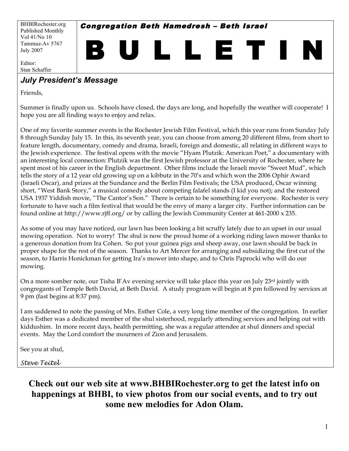BHBIRochester.org Published Monthly Vol 41/No 10 Tammuz-Av 5767 July 2007

Congregation Beth Hamedresh – Beth Israel

B U L L E T I N

Editor: Stan Schaffer

# *July President's Message*

Friends,

Summer is finally upon us. Schools have closed, the days are long, and hopefully the weather will cooperate! I hope you are all finding ways to enjoy and relax.

One of my favorite summer events is the Rochester Jewish Film Festival, which this year runs from Sunday July 8 through Sunday July 15. In this, its seventh year, you can choose from among 20 different films, from short to feature length, documentary, comedy and drama, Israeli, foreign and domestic, all relating in different ways to the Jewish experience. The festival opens with the movie "Hyam Plutzik: American Poet," a documentary with an interesting local connection: Plutzik was the first Jewish professor at the University of Rochester, where he spent most of his career in the English department. Other films include the Israeli movie "Sweet Mud", which tells the story of a 12 year old growing up on a kibbutz in the 70's and which won the 2006 Ophir Award (Israeli Oscar), and prizes at the Sundance and the Berlin Film Festivals; the USA produced, Oscar winning short, "West Bank Story," a musical comedy about competing falafel stands (I kid you not); and the restored USA 1937 Yiddish movie, "The Cantor's Son." There is certain to be something for everyone. Rochester is very fortunate to have such a film festival that would be the envy of many a larger city. Further information can be found online at http://www.rjff.org/ or by calling the Jewish Community Center at 461-2000 x 235.

As some of you may have noticed, our lawn has been looking a bit scruffy lately due to an upset in our usual mowing operation. Not to worry! The shul is now the proud home of a working riding lawn mower thanks to a generous donation from Ira Cohen. So put your guinea pigs and sheep away, our lawn should be back in proper shape for the rest of the season. Thanks to Art Mercer for arranging and subsidizing the first cut of the season, to Harris Honickman for getting Ira's mower into shape, and to Chris Paprocki who will do our mowing.

On a more somber note, our Tisha B'Av evening service will take place this year on July  $23^{rd}$  jointly with congregants of Temple Beth David, at Beth David. A study program will begin at 8 pm followed by services at 9 pm (fast begins at 8:37 pm).

I am saddened to note the passing of Mrs. Esther Cole, a very long time member of the congregation. In earlier days Esther was a dedicated member of the shul sisterhood, regularly attending services and helping out with kiddushim. In more recent days, health permitting, she was a regular attendee at shul dinners and special events. May the Lord comfort the mourners of Zion and Jerusalem.

See you at shul,

*Steve Teitel*

**Check out our web site at www.BHBIRochester.org to get the latest info on happenings at BHBI, to view photos from our social events, and to try out some new melodies for Adon Olam.**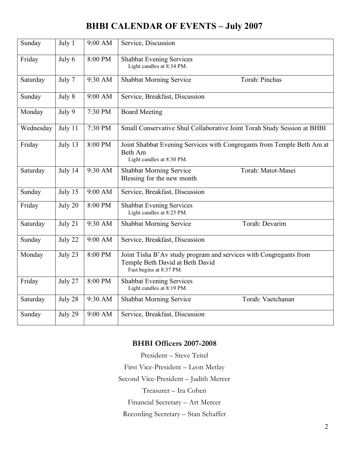# **BHBI CALENDAR OF EVENTS – July 2007**

| Sunday    | July 1  | 9:00 AM | Service, Discussion                                                                                                             |
|-----------|---------|---------|---------------------------------------------------------------------------------------------------------------------------------|
| Friday    | July 6  | 8:00 PM | <b>Shabbat Evening Services</b><br>Light candles at 8:34 PM.                                                                    |
| Saturday  | July 7  | 9:30 AM | Torah: Pinchas<br><b>Shabbat Morning Service</b>                                                                                |
| Sunday    | July 8  | 9:00 AM | Service, Breakfast, Discussion                                                                                                  |
| Monday    | July 9  | 7:30 PM | <b>Board Meeting</b>                                                                                                            |
| Wednesday | July 11 | 7:30 PM | Small Conservative Shul Collaborative Joint Torah Study Session at BHBI                                                         |
| Friday    | July 13 | 8:00 PM | Joint Shabbat Evening Services with Congregants from Temple Beth Am at<br>Beth Am<br>Light candles at 8:30 PM.                  |
| Saturday  | July 14 | 9:30 AM | <b>Shabbat Morning Service</b><br>Torah: Matot-Masei<br>Blessing for the new month                                              |
| Sunday    | July 15 | 9:00 AM | Service, Breakfast, Discussion                                                                                                  |
| Friday    | July 20 | 8:00 PM | <b>Shabbat Evening Services</b><br>Light candles at 8:25 PM.                                                                    |
| Saturday  | July 21 | 9:30 AM | Torah: Devarim<br><b>Shabbat Morning Service</b>                                                                                |
| Sunday    | July 22 | 9:00 AM | Service, Breakfast, Discussion                                                                                                  |
| Monday    | July 23 | 8:00 PM | Joint Tisha B'Av study program and services with Congregants from<br>Temple Beth David at Beth David<br>Fast begins at 8:37 PM. |
| Friday    | July 27 | 8:00 PM | <b>Shabbat Evening Services</b><br>Light candles at 8:19 PM.                                                                    |
| Saturday  | July 28 | 9:30 AM | Torah: Vaetchanan<br><b>Shabbat Morning Service</b>                                                                             |
| Sunday    | July 29 | 9:00 AM | Service, Breakfast, Discussion                                                                                                  |

### **BHBI Officers 2007-2008**

President – Steve Teitel First Vice-President – Leon Metlay Second Vice-President – Judith Mercer Treasurer – Ira Cohen Financial Secretary – Art Mercer Recording Secretary – Stan Schaffer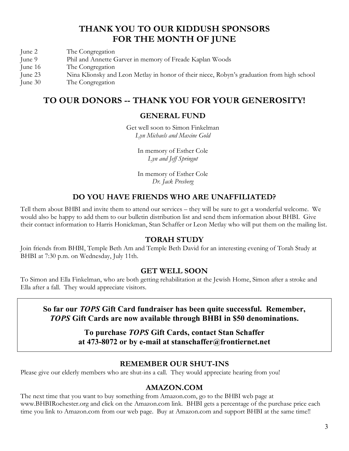# **THANK YOU TO OUR KIDDUSH SPONSORS FOR THE MONTH OF JUNE**

- June 2 The Congregation
- June 9 Phil and Annette Garver in memory of Freade Kaplan Woods
- June 16 The Congregation
- June 23 Nina Klionsky and Leon Metlay in honor of their niece, Robyn's graduation from high school
- June 30 The Congregation

## **TO OUR DONORS -- THANK YOU FOR YOUR GENEROSITY!**

### **GENERAL FUND**

Get well soon to Simon Finkelman *Lyn Michaels and Maxine Gold*

> In memory of Esther Cole *Lyn and Jeff Springut*

> In memory of Esther Cole *Dr. Jack Presberg*

### **DO YOU HAVE FRIENDS WHO ARE UNAFFILIATED?**

Tell them about BHBI and invite them to attend our services – they will be sure to get a wonderful welcome. We would also be happy to add them to our bulletin distribution list and send them information about BHBI. Give their contact information to Harris Honickman, Stan Schaffer or Leon Metlay who will put them on the mailing list.

#### **TORAH STUDY**

Join friends from BHBI, Temple Beth Am and Temple Beth David for an interesting evening of Torah Study at BHBI at 7:30 p.m. on Wednesday, July 11th.

#### **GET WELL SOON**

To Simon and Ella Finkelman, who are both getting rehabilitation at the Jewish Home, Simon after a stroke and Ella after a fall. They would appreciate visitors.

**So far our** *TOPS* **Gift Card fundraiser has been quite successful. Remember,** *TOPS* **Gift Cards are now available through BHBI in \$50 denominations.**

> **To purchase** *TOPS* **Gift Cards, contact Stan Schaffer at 473-8072 or by e-mail at stanschaffer@frontiernet.net**

#### **REMEMBER OUR SHUT-INS**

Please give our elderly members who are shut-ins a call. They would appreciate hearing from you!

#### **AMAZON.COM**

The next time that you want to buy something from Amazon.com, go to the BHBI web page at www.BHBIRochester.org and click on the Amazon.com link. BHBI gets a percentage of the purchase price each time you link to Amazon.com from our web page. Buy at Amazon.com and support BHBI at the same time!!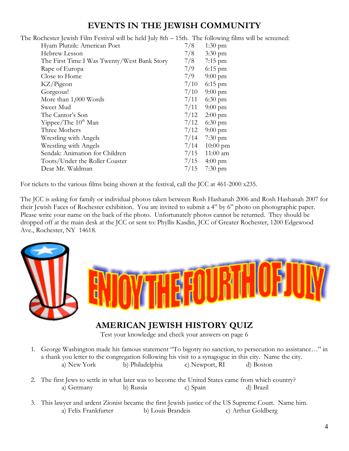# **EVENTS IN THE JEWISH COMMUNITY**

The Rochester Jewish Film Festival will be held July 8th – 15th. The following films will be screened:

| Hyam Plutzik: American Poet                 | 7/8  | $1:30 \text{ pm}$ |
|---------------------------------------------|------|-------------------|
| Hebrew Lesson                               | 7/8  | $3:30 \text{ pm}$ |
| The First Time I Was Twenty/West Bank Story | 7/8  | $7:15$ pm         |
| Rape of Europa                              | 7/9  | $6:15$ pm         |
| Close to Home                               | 7/9  | $9:00 \text{ pm}$ |
| KZ/Pigeon                                   | 7/10 | $6:15$ pm         |
| Gorgeous!                                   | 7/10 | $9:00 \text{ pm}$ |
| More than 1,000 Words                       | 7/11 | $6:30$ pm         |
| Sweet Mud                                   | 7/11 | $9:00 \text{ pm}$ |
| The Cantor's Son                            | 7/12 | $2:00$ pm         |
| Yippee/The $10^{th}$ Man                    | 7/12 | $6:30$ pm         |
| Three Mothers                               | 7/12 | $9:00 \text{ pm}$ |
| Wrestling with Angels                       | 7/14 | $7:30 \text{ pm}$ |
| Wrestling with Angels                       | 7/14 | $10:00$ pm        |
| Sendak: Animation for Children              | 7/15 | $11:00$ am        |
| Toots/Under the Roller Coaster              | 7/15 | $4:00 \text{ pm}$ |
| Dear Mr. Waldman                            | 7/15 | $7:30 \text{ pm}$ |
|                                             |      |                   |

For tickets to the various films being shown at the festival, call the JCC at 461-2000 x235.

The JCC is asking for family or individual photos taken between Rosh Hashanah 2006 and Rosh Hashanah 2007 for their Jewish Faces of Rochester exhibition. You are invited to submit a 4" by 6" photo on photographic paper. Please write your name on the back of the photo. Unfortunately photos cannot be returned. They should be dropped off at the main desk at the JCC or sent to: Phyllis Kasdin, JCC of Greater Rochester, 1200 Edgewood Ave., Rochester, NY 14618.



# **AMERICAN JEWISH HISTORY QUIZ**

Test your knowledge and check your answers on page 6

- 1. George Washington made his famous statement "To bigotry no sanction, to persecution no assistance…" in a thank you letter to the congregation following his visit to a synagogue in this city. Name the city. a) New York b) Philadelphia c) Newport, RI d) Boston
- 2. The first Jews to settle in what later was to become the United States came from which country? a) Germany b) Russia c) Spain d) Brazil
- 3. This lawyer and ardent Zionist became the first Jewish justice of the US Supreme Court. Name him. a) Felix Frankfurter b) Louis Brandeis c) Arthur Goldberg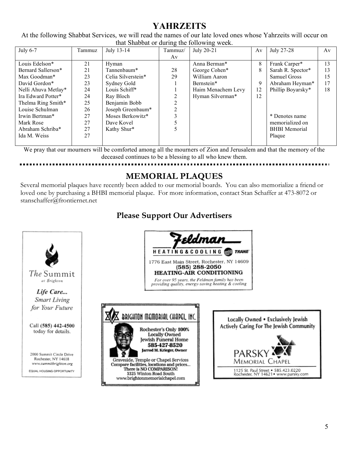# **YAHRZEITS**

At the following Shabbat Services, we will read the names of our late loved ones whose Yahrzeits will occur on that Shabbat or during the following week.

| July 6-7            | Tammuz | July 13-14         | Tammuz/ | July 20-21         | Av | July 27-28           | Av |
|---------------------|--------|--------------------|---------|--------------------|----|----------------------|----|
|                     |        |                    | Av      |                    |    |                      |    |
| Louis Edelson*      | 21     | Hyman              |         | Anna Berman*       | 8  | Frank Carper*        | 13 |
| Bernard Sallerson*  | 21     | Tannenbaum*        | 28      | George Cohen*      | 8  | Sarah R. Spector*    | 13 |
| Max Goodman*        | 23     | Celia Silverstein* | 29      | William Aaron      |    | Samuel Gross         | 15 |
| David Gordon*       | 23     | Sydney Gold        |         | Bernstein*         | 9  | Abraham Heyman*      | 17 |
| Nelli Ahuva Metlay* | 24     | Louis Schiff*      |         | Haim Menachem Levy | 12 | Phillip Boyarsky*    | 18 |
| Ira Edward Potter*  | 24     | Ray Bloch          |         | Hyman Silverman*   | 12 |                      |    |
| Thelma Ring Smith*  | 25     | Benjamin Bobb      |         |                    |    |                      |    |
| Louise Schulman     | 26     | Joseph Greenbaum*  |         |                    |    |                      |    |
| Irwin Bertman*      | 27     | Moses Berkowitz*   |         |                    |    | * Denotes name       |    |
| Mark Rose           | 27     | Dave Kovel         |         |                    |    | memorialized on      |    |
| Abraham Schriba*    | 27     | Kathy Shur*        |         |                    |    | <b>BHBI</b> Memorial |    |
| Ida M. Weiss        | 27     |                    |         |                    |    | Plaque               |    |
|                     |        |                    |         |                    |    |                      |    |

We pray that our mourners will be comforted among all the mourners of Zion and Jerusalem and that the memory of the

deceased continues to be a blessing to all who knew them.

# **MEMORIAL PLAQUES**

Several memorial plaques have recently been added to our memorial boards. You can also memorialize a friend or loved one by purchasing a BHBI memorial plaque. For more information, contact Stan Schaffer at 473-8072 or stanschaffer@frontiernet.net

# **Please Support Our Advertisers**